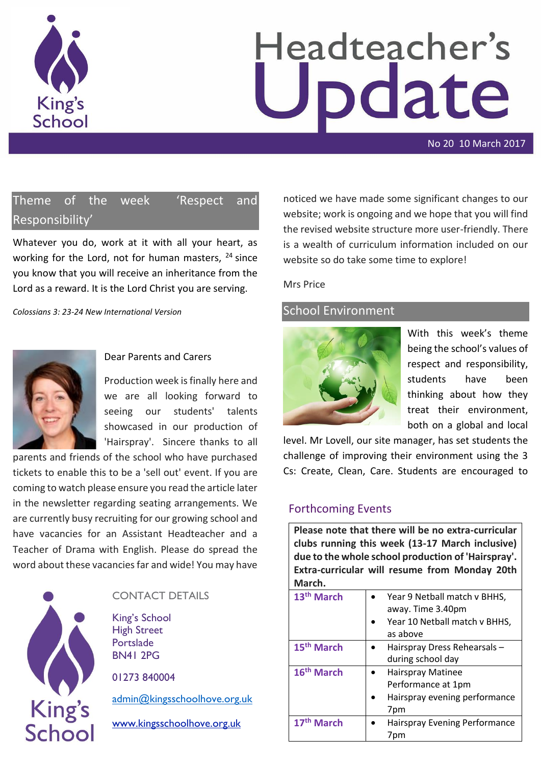

# Headteacher's pdate

No 20 10 March 2017

# Theme of the week 'Respect and Responsibility'

Whatever you do, work at it with all your heart, as working for the Lord, not for human masters, <sup>24</sup> since you know that you will receive an inheritance from the Lord as a reward. It is the Lord Christ you are serving.

*Colossians 3: 23-24 New International Version*



#### Dear Parents and Carers

Production week is finally here and we are all looking forward to seeing our students' talents showcased in our production of 'Hairspray'. Sincere thanks to all

parents and friends of the school who have purchased tickets to enable this to be a 'sell out' event. If you are coming to watch please ensure you read the article later in the newsletter regarding seating arrangements. We are currently busy recruiting for our growing school and have vacancies for an Assistant Headteacher and a Teacher of Drama with English. Please do spread the word about these vacancies far and wide! You may have



## CONTACT DETAILS

King's School High Street Portslade BN41 2PG

01273 840004

[admin@kingsschoolhove.org.uk](mailto:admin@kingsschoolhove.org.uk)

[www.kingsschoolhove.org.uk](http://www.kingsschoolhove.org.uk/)

noticed we have made some significant changes to our website; work is ongoing and we hope that you will find the revised website structure more user-friendly. There is a wealth of curriculum information included on our website so do take some time to explore!

#### Mrs Price

#### School Environment



With this week's theme being the school's values of respect and responsibility, students have been thinking about how they treat their environment, both on a global and local

level. Mr Lovell, our site manager, has set students the challenge of improving their environment using the 3 Cs: Create, Clean, Care. Students are encouraged to

#### Forthcoming Events

**Please note that there will be no extra-curricular clubs running this week (13-17 March inclusive) due to the whole school production of 'Hairspray'. Extra-curricular will resume from Monday 20th March.** 

| 13 <sup>th</sup> March | Year 9 Netball match v BHHS,<br>away. Time 3.40pm                               |
|------------------------|---------------------------------------------------------------------------------|
|                        | Year 10 Netball match v BHHS,<br>as above                                       |
| 15 <sup>th</sup> March | Hairspray Dress Rehearsals-<br>during school day                                |
| 16 <sup>th</sup> March | Hairspray Matinee<br>Performance at 1pm<br>Hairspray evening performance<br>7pm |
| 17 <sup>th</sup> March | Hairspray Evening Performance<br>7pm                                            |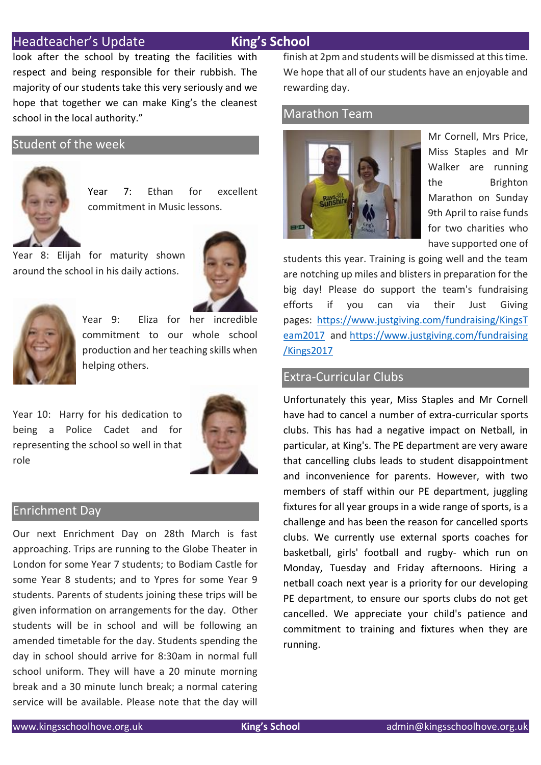## Headteacher's Update **King's School**

look after the school by treating the facilities with respect and being responsible for their rubbish. The majority of our students take this very seriously and we hope that together we can make King's the cleanest school in the local authority."

#### Student of the week



Year 7: Ethan for excellent commitment in Music lessons.

Year 8: Elijah for maturity shown around the school in his daily actions.





Year 9: Eliza for her incredible commitment to our whole school production and her teaching skills when helping others.

Year 10: Harry for his dedication to being a Police Cadet and for representing the school so well in that role



#### Enrichment Day

Our next Enrichment Day on 28th March is fast approaching. Trips are running to the Globe Theater in London for some Year 7 students; to Bodiam Castle for some Year 8 students; and to Ypres for some Year 9 students. Parents of students joining these trips will be given information on arrangements for the day. Other students will be in school and will be following an amended timetable for the day. Students spending the day in school should arrive for 8:30am in normal full school uniform. They will have a 20 minute morning break and a 30 minute lunch break; a normal catering service will be available. Please note that the day will finish at 2pm and students will be dismissed at this time. We hope that all of our students have an enjoyable and rewarding day.

#### Marathon Team



Mr Cornell, Mrs Price, Miss Staples and Mr Walker are running the Brighton Marathon on Sunday 9th April to raise funds for two charities who have supported one of

students this year. Training is going well and the team are notching up miles and blisters in preparation for the big day! Please do support the team's fundraising efforts if you can via their Just Giving pages: [https://www.justgiving.com/fundraising/KingsT](https://www.justgiving.com/fundraising/KingsTeam2017) [eam2017](https://www.justgiving.com/fundraising/KingsTeam2017) and [https://www.justgiving.com/fundraising](https://www.justgiving.com/fundraising/Kings2017) [/Kings2017](https://www.justgiving.com/fundraising/Kings2017)

## Extra-Curricular Clubs

Unfortunately this year, Miss Staples and Mr Cornell have had to cancel a number of extra-curricular sports clubs. This has had a negative impact on Netball, in particular, at King's. The PE department are very aware that cancelling clubs leads to student disappointment and inconvenience for parents. However, with two members of staff within our PE department, juggling fixtures for all year groups in a wide range of sports, is a challenge and has been the reason for cancelled sports clubs. We currently use external sports coaches for basketball, girls' football and rugby- which run on Monday, Tuesday and Friday afternoons. Hiring a netball coach next year is a priority for our developing PE department, to ensure our sports clubs do not get cancelled. We appreciate your child's patience and commitment to training and fixtures when they are running.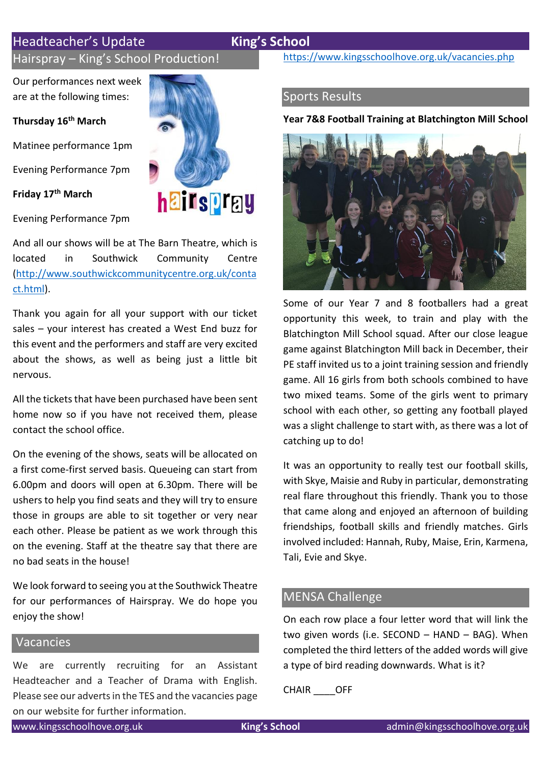# Headteacher's Update **King's School**

Hairspray – King's School Production!

Our performances next week are at the following times:

**Thursday 16th March** 

Matinee performance 1pm

Evening Performance 7pm

**Friday 17th March**



And all our shows will be at The Barn Theatre, which is located in Southwick Community Centre [\(http://www.southwickcommunitycentre.org.uk/conta](http://www.southwickcommunitycentre.org.uk/contact.html) [ct.html\)](http://www.southwickcommunitycentre.org.uk/contact.html).

Thank you again for all your support with our ticket sales – your interest has created a West End buzz for this event and the performers and staff are very excited about the shows, as well as being just a little bit nervous.

All the tickets that have been purchased have been sent home now so if you have not received them, please contact the school office.

On the evening of the shows, seats will be allocated on a first come-first served basis. Queueing can start from 6.00pm and doors will open at 6.30pm. There will be ushers to help you find seats and they will try to ensure those in groups are able to sit together or very near each other. Please be patient as we work through this on the evening. Staff at the theatre say that there are no bad seats in the house!

We look forward to seeing you at the Southwick Theatre for our performances of Hairspray. We do hope you enjoy the show!

## Vacancies

We are currently recruiting for an Assistant Headteacher and a Teacher of Drama with English. Please see our adverts in the TES and the vacancies page on our website for further information.



<https://www.kingsschoolhove.org.uk/vacancies.php>

# Sports Results

#### **Year 7&8 Football Training at Blatchington Mill School**

![](_page_2_Picture_20.jpeg)

Some of our Year 7 and 8 footballers had a great opportunity this week, to train and play with the Blatchington Mill School squad. After our close league game against Blatchington Mill back in December, their PE staff invited us to a joint training session and friendly game. All 16 girls from both schools combined to have two mixed teams. Some of the girls went to primary school with each other, so getting any football played was a slight challenge to start with, as there was a lot of catching up to do!

It was an opportunity to really test our football skills, with Skye, Maisie and Ruby in particular, demonstrating real flare throughout this friendly. Thank you to those that came along and enjoyed an afternoon of building friendships, football skills and friendly matches. Girls involved included: Hannah, Ruby, Maise, Erin, Karmena, Tali, Evie and Skye.

## MENSA Challenge

On each row place a four letter word that will link the two given words (i.e. SECOND – HAND – BAG). When completed the third letters of the added words will give a type of bird reading downwards. What is it?

CHAIR \_\_\_\_OFF